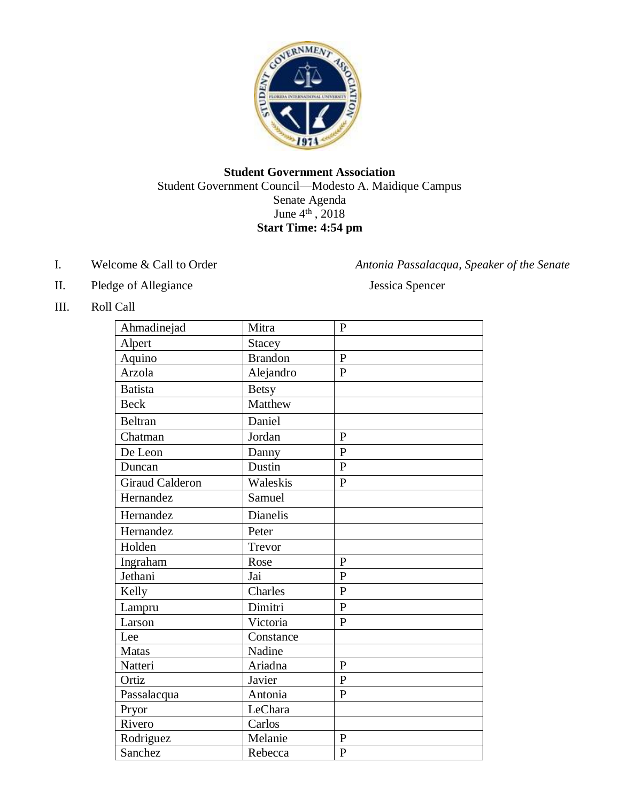

# **Student Government Association** Student Government Council—Modesto A. Maidique Campus Senate Agenda June  $4^{\text{th}}$ , 2018 **Start Time: 4:54 pm**

- I. Welcome & Call to Order *Antonia Passalacqua, Speaker of the Senate*
	-
- II. Pledge of Allegiance Jessica Spencer

III. Roll Call

| Ahmadinejad            | Mitra          | $\mathbf{P}$   |
|------------------------|----------------|----------------|
| Alpert                 | <b>Stacey</b>  |                |
| Aquino                 | <b>Brandon</b> | $\mathbf{P}$   |
| Arzola                 | Alejandro      | $\mathbf{P}$   |
| <b>Batista</b>         | <b>Betsy</b>   |                |
| <b>Beck</b>            | Matthew        |                |
| Beltran                | Daniel         |                |
| Chatman                | Jordan         | $\mathbf{P}$   |
| De Leon                | Danny          | $\mathbf{P}$   |
| Duncan                 | Dustin         | $\mathbf{P}$   |
| <b>Giraud Calderon</b> | Waleskis       | $\mathbf{P}$   |
| Hernandez              | Samuel         |                |
| Hernandez              | Dianelis       |                |
| Hernandez              | Peter          |                |
| Holden                 | Trevor         |                |
| Ingraham               | Rose           | $\mathbf{P}$   |
| Jethani                | Jai            | $\overline{P}$ |
| Kelly                  | Charles        | $\overline{P}$ |
| Lampru                 | Dimitri        | $\overline{P}$ |
| Larson                 | Victoria       | $\overline{P}$ |
| Lee                    | Constance      |                |
| <b>Matas</b>           | Nadine         |                |
| Natteri                | Ariadna        | P              |
| Ortiz                  | Javier         | $\overline{P}$ |
| Passalacqua            | Antonia        | $\mathbf{P}$   |
| Pryor                  | LeChara        |                |
| Rivero                 | Carlos         |                |
| Rodriguez              | Melanie        | $\mathbf{P}$   |
| Sanchez                | Rebecca        | $\overline{P}$ |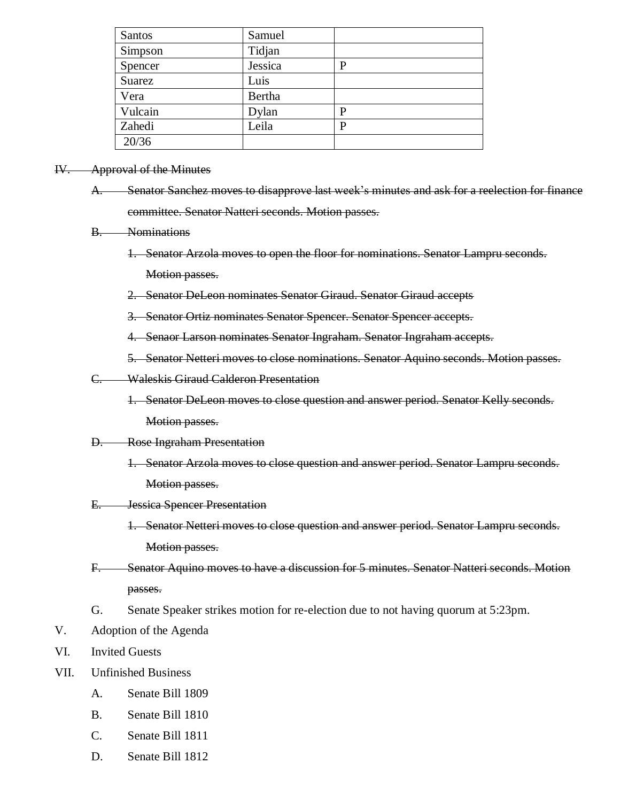| Santos  | Samuel  |   |
|---------|---------|---|
| Simpson | Tidjan  |   |
| Spencer | Jessica | P |
| Suarez  | Luis    |   |
| Vera    | Bertha  |   |
| Vulcain | Dylan   | P |
| Zahedi  | Leila   | P |
| 20/36   |         |   |

#### IV. Approval of the Minutes

- A. Senator Sanchez moves to disapprove last week's minutes and ask for a reelection for finance committee. Senator Natteri seconds. Motion passes.
- B. Nominations
	- 1. Senator Arzola moves to open the floor for nominations. Senator Lampru seconds. Motion passes.
	- 2. Senator DeLeon nominates Senator Giraud. Senator Giraud accepts
	- 3. Senator Ortiz nominates Senator Spencer. Senator Spencer accepts.
	- 4. Senaor Larson nominates Senator Ingraham. Senator Ingraham accepts.
	- 5. Senator Netteri moves to close nominations. Senator Aquino seconds. Motion passes.
- C. Waleskis Giraud Calderon Presentation
	- 1. Senator DeLeon moves to close question and answer period. Senator Kelly seconds. Motion passes.

#### D. Rose Ingraham Presentation

- 1. Senator Arzola moves to close question and answer period. Senator Lampru seconds. Motion passes.
- E. Jessica Spencer Presentation
	- 1. Senator Netteri moves to close question and answer period. Senator Lampru seconds. Motion passes.
- F. Senator Aquino moves to have a discussion for 5 minutes. Senator Natteri seconds. Motion passes.
- G. Senate Speaker strikes motion for re-election due to not having quorum at 5:23pm.
- V. Adoption of the Agenda
- VI. Invited Guests
- VII. Unfinished Business
	- A. Senate Bill 1809
	- B. Senate Bill 1810
	- C. Senate Bill 1811
	- D. Senate Bill 1812